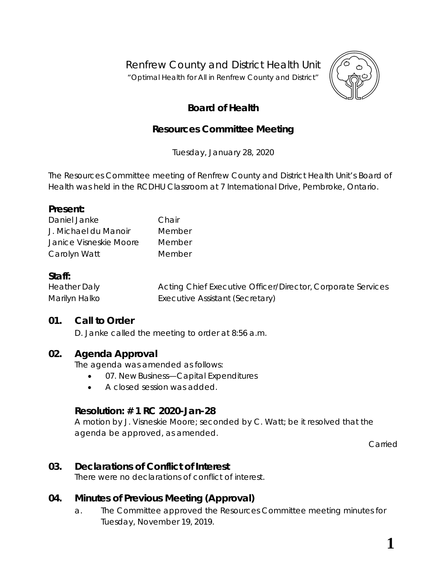Renfrew County and District Health Unit

"*Optimal Health for All in Renfrew County and District"*



# **Board of Health**

## **Resources Committee Meeting**

Tuesday, January 28, 2020

The Resources Committee meeting of Renfrew County and District Health Unit's Board of Health was held in the RCDHU Classroom at 7 International Drive, Pembroke, Ontario.

#### **Present:**

| Daniel Janke           | Chair  |
|------------------------|--------|
| J. Michael du Manoir   | Member |
| Janice Visneskie Moore | Member |
| Carolyn Watt           | Member |

## **Staff:**

| <b>Heather Daly</b> | Acting Chief Executive Officer/Director, Corporate Services |
|---------------------|-------------------------------------------------------------|
| Marilyn Halko       | Executive Assistant (Secretary)                             |

#### **01. Call to Order**

D. Janke called the meeting to order at 8:56 a.m.

## **02. Agenda Approval**

The agenda was amended as follows:

- 07. New Business—Capital Expenditures
- A closed session was added.

## **Resolution: # 1 RC 2020-Jan-28**

A motion by J. Visneskie Moore; seconded by C. Watt; be it resolved that the agenda be approved, as amended.

Carried

## **03. Declarations of Conflict of Interest**

There were no declarations of conflict of interest.

## **04. Minutes of Previous Meeting (Approval)**

a. The Committee approved the Resources Committee meeting minutes for Tuesday, November 19, 2019.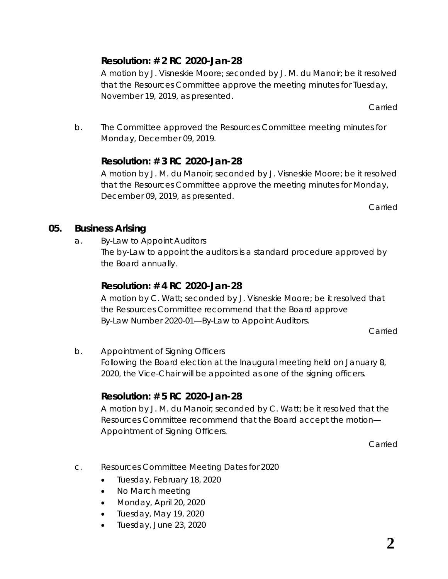## **Resolution: # 2 RC 2020-Jan-28**

A motion by J. Visneskie Moore; seconded by J. M. du Manoir; be it resolved that the Resources Committee approve the meeting minutes for Tuesday, November 19, 2019, as presented.

Carried

b. The Committee approved the Resources Committee meeting minutes for Monday, December 09, 2019.

## **Resolution: # 3 RC 2020-Jan-28**

A motion by J. M. du Manoir; seconded by J. Visneskie Moore; be it resolved that the Resources Committee approve the meeting minutes for Monday, December 09, 2019, as presented.

Carried

## **05. Business Arising**

a. By-Law to Appoint Auditors

The by-Law to appoint the auditors is a standard procedure approved by the Board annually.

## **Resolution: # 4 RC 2020-Jan-28**

A motion by C. Watt; seconded by J. Visneskie Moore; be it resolved that the Resources Committee recommend that the Board approve *By-Law Number 2020-01—By-Law to Appoint Auditors*.

Carried

b. Appointment of Signing Officers

Following the Board election at the Inaugural meeting held on January 8, 2020, the Vice-Chair will be appointed as one of the signing officers.

## **Resolution: # 5 RC 2020-Jan-28**

A motion by J. M. du Manoir; seconded by C. Watt; be it resolved that the Resources Committee recommend that the Board accept the motion— *Appointment of Signing Officers*.

Carried

- c. Resources Committee Meeting Dates for 2020
	- Tuesday, February 18, 2020
	- No March meeting
	- Monday, April 20, 2020
	- Tuesday, May 19, 2020
	- Tuesday, June 23, 2020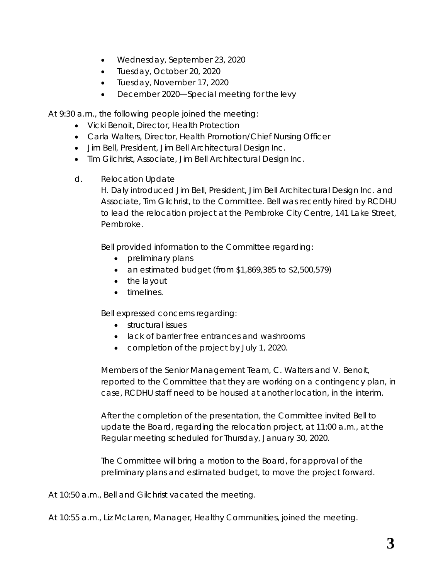- Wednesday, September 23, 2020
- Tuesday, October 20, 2020
- Tuesday, November 17, 2020
- December 2020—Special meeting for the levy

At 9:30 a.m., the following people joined the meeting:

- Vicki Benoit, Director, Health Protection
- Carla Walters, Director, Health Promotion/Chief Nursing Officer
- Jim Bell, President, Jim Bell Architectural Design Inc.
- Tim Gilchrist, Associate, Jim Bell Architectural Design Inc.
- d. Relocation Update

H. Daly introduced Jim Bell, President, Jim Bell Architectural Design Inc. and Associate, Tim Gilchrist, to the Committee. Bell was recently hired by RCDHU to lead the relocation project at the Pembroke City Centre, 141 Lake Street, Pembroke.

Bell provided information to the Committee regarding:

- preliminary plans
- an estimated budget (from \$1,869,385 to \$2,500,579)
- the layout
- timelines.

Bell expressed concerns regarding:

- structural issues
- lack of barrier free entrances and washrooms
- completion of the project by July 1, 2020.

Members of the Senior Management Team, C. Walters and V. Benoit, reported to the Committee that they are working on a contingency plan, in case, RCDHU staff need to be housed at another location, in the interim.

After the completion of the presentation, the Committee invited Bell to update the Board, regarding the relocation project, at 11:00 a.m., at the Regular meeting scheduled for Thursday, January 30, 2020.

The Committee will bring a motion to the Board, for approval of the preliminary plans and estimated budget, to move the project forward.

At 10:50 a.m., Bell and Gilchrist vacated the meeting.

At 10:55 a.m., Liz McLaren, Manager, Healthy Communities, joined the meeting.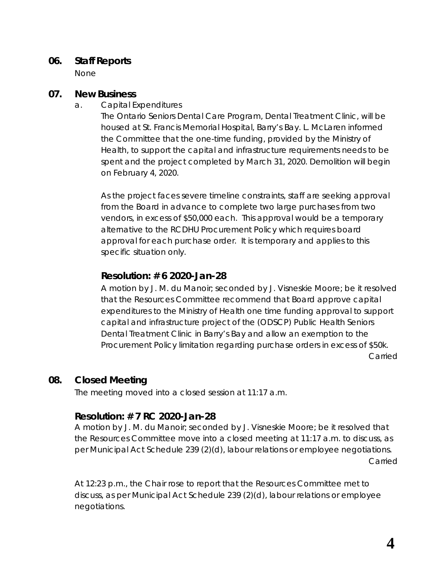#### **06. Staff Reports**

None

### **07. New Business**

a. Capital Expenditures

The Ontario Seniors Dental Care Program, Dental Treatment Clinic, will be housed at St. Francis Memorial Hospital, Barry's Bay. L. McLaren informed the Committee that the one-time funding, provided by the Ministry of Health, to support the capital and infrastructure requirements needs to be spent and the project completed by March 31, 2020. Demolition will begin on February 4, 2020.

As the project faces severe timeline constraints, staff are seeking approval from the Board in advance to complete two large purchases from two vendors, in excess of \$50,000 each. This approval would be a temporary alternative to the RCDHU Procurement Policy which requires board approval for each purchase order. It is temporary and applies to this specific situation only.

## **Resolution: # 6 2020-Jan-28**

A motion by J. M. du Manoir; seconded by J. Visneskie Moore; be it resolved that the Resources Committee recommend that Board approve capital expenditures to the Ministry of Health one time funding approval to support capital and infrastructure project of the (ODSCP) Public Health Seniors Dental Treatment Clinic in Barry's Bay and allow an exemption to the Procurement Policy limitation regarding purchase orders in excess of \$50k. Carried

## **08. Closed Meeting**

The meeting moved into a closed session at 11:17 a.m.

## **Resolution: # 7 RC 2020-Jan-28**

A motion by J. M. du Manoir; seconded by J. Visneskie Moore; be it resolved that the Resources Committee move into a closed meeting at 11:17 a.m. to discuss, as per Municipal Act Schedule 239 (2)(d), labour relations or employee negotiations. Carried

At 12:23 p.m., the Chair rose to report that the Resources Committee met to discuss, as per Municipal Act Schedule 239 (2)(d), labour relations or employee negotiations.